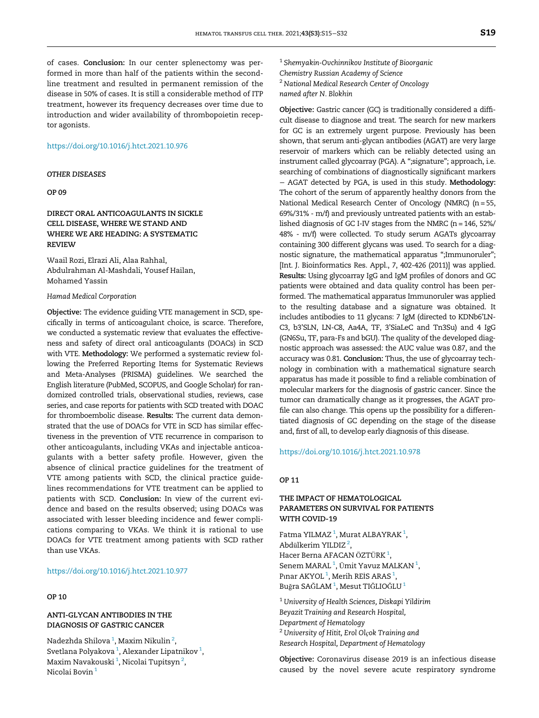of cases. Conclusion: In our center splenectomy was performed in more than half of the patients within the secondline treatment and resulted in permanent remission of the disease in 50% of cases. It is still a considerable method of ITP treatment, however its frequency decreases over time due to introduction and wider availability of thrombopoietin receptor agonists.

### <https://doi.org/10.1016/j.htct.2021.10.976>

#### OTHER DISEASES

## OP 09

# DIRECT ORAL ANTICOAGULANTS IN SICKLE CELL DISEASE, WHERE WE STAND AND WHERE WE ARE HEADING: A SYSTEMATIC **REVIEW**

Waail Rozi, Elrazi Ali, Alaa Rahhal, Abdulrahman Al-Mashdali, Yousef Hailan, Mohamed Yassin

#### Hamad Medical Corporation

Objective: The evidence guiding VTE management in SCD, specifically in terms of anticoagulant choice, is scarce. Therefore, we conducted a systematic review that evaluates the effectiveness and safety of direct oral anticoagulants (DOACs) in SCD with VTE. Methodology: We performed a systematic review following the Preferred Reporting Items for Systematic Reviews and Meta-Analyses (PRISMA) guidelines. We searched the English literature (PubMed, SCOPUS, and Google Scholar) for randomized controlled trials, observational studies, reviews, case series, and case reports for patients with SCD treated with DOAC for thromboembolic disease. Results: The current data demonstrated that the use of DOACs for VTE in SCD has similar effectiveness in the prevention of VTE recurrence in comparison to other anticoagulants, including VKAs and injectable anticoagulants with a better safety profile. However, given the absence of clinical practice guidelines for the treatment of VTE among patients with SCD, the clinical practice guidelines recommendations for VTE treatment can be applied to patients with SCD. Conclusion: In view of the current evidence and based on the results observed; using DOACs was associated with lesser bleeding incidence and fewer complications comparing to VKAs. We think it is rational to use DOACs for VTE treatment among patients with SCD rather than use VKAs.

### <https://doi.org/10.1016/j.htct.2021.10.977>

# OP 10

# ANTI-GLYCAN ANTIBODIES IN THE DIAGNOSIS OF GASTRIC CANCER

Nadezhda Shilova <sup>1</sup>, Maxim Nikulin <sup>2</sup>, Svetlana Polyakova  $^1$ , Alexander Lipatnikov  $^1$ , Maxim Navakouski $^1$ , Nicolai Tupitsyn $^2$ , Nicolai Bovin <sup>1</sup>

1 Shemyakin-Ovchinnikov Institute of Bioorganic Chemistry Russian Academy of Science <sup>2</sup> National Medical Research Center of Oncology named after N. Blokhin

Objective: Gastric cancer (GC) is traditionally considered a difficult disease to diagnose and treat. The search for new markers for GC is an extremely urgent purpose. Previously has been shown, that serum anti-glycan antibodies (AGAT) are very large reservoir of markers which can be reliably detected using an instrument called glycoarray (PGA). A ";signature"; approach, i.e. searching of combinations of diagnostically significant markers − AGAT detected by PGA, is used in this study. Methodology: The cohort of the serum of apparently healthy donors from the National Medical Research Center of Oncology (NMRC) (n = 55, 69%/31% - m/f) and previously untreated patients with an established diagnosis of GC I-IV stages from the NMRC (n = 146, 52%/ 48% - m/f) were collected. To study serum AGATs glycoarray containing 300 different glycans was used. To search for a diagnostic signature, the mathematical apparatus ";Immunoruler"; [Int. J. Bioinformatics Res. Appl., 7, 402-426 (2011)] was applied. Results: Using glycoarray IgG and IgM profiles of donors and GC patients were obtained and data quality control has been performed. The mathematical apparatus Immunoruler was applied to the resulting database and a signature was obtained. It includes antibodies to 11 glycans: 7 IgM (directed to KDNb6'LN-C3, b3'SLN, LN-C8, Aa4A, TF, 3'SiaLeC and Tn3Su) and 4 IgG (GN6Su, TF, para-Fs and bGU). The quality of the developed diagnostic approach was assessed: the AUC value was 0.87, and the accuracy was 0.81. Conclusion: Thus, the use of glycoarray technology in combination with a mathematical signature search apparatus has made it possible to find a reliable combination of molecular markers for the diagnosis of gastric cancer. Since the tumor can dramatically change as it progresses, the AGAT profile can also change. This opens up the possibility for a differentiated diagnosis of GC depending on the stage of the disease and, first of all, to develop early diagnosis of this disease.

## <https://doi.org/10.1016/j.htct.2021.10.978>

## OP 11

# THE IMPACT OF HEMATOLOGICAL PARAMETERS ON SURVIVAL FOR PATIENTS WITH COVID-19

Fatma YILMAZ $^1$ , Murat ALBAYRAK $^1$ , Abdülkerim YILDIZ $^{\,2},$ Hacer Berna AFACAN ÖZTÜRK $^1$ , Senem MARAL $^1$ , Ümit Yavuz MALKAN $^1$ , Pınar AKYOL<sup>1</sup>, Merih REİS ARAS<sup>1</sup>, Buğra SAĞLAM $^1$ , Mesut TIĞLIOĞLU $^1$ 

 $^1$  University of Health Sciences, Diskapi Yildirim Beyazit Training and Research Hospital, Department of Hematology <sup>2</sup> University of Hitit, Erol Olçok Training and Research Hospital, Department of Hematology

Objective: Coronavirus disease 2019 is an infectious disease caused by the novel severe acute respiratory syndrome